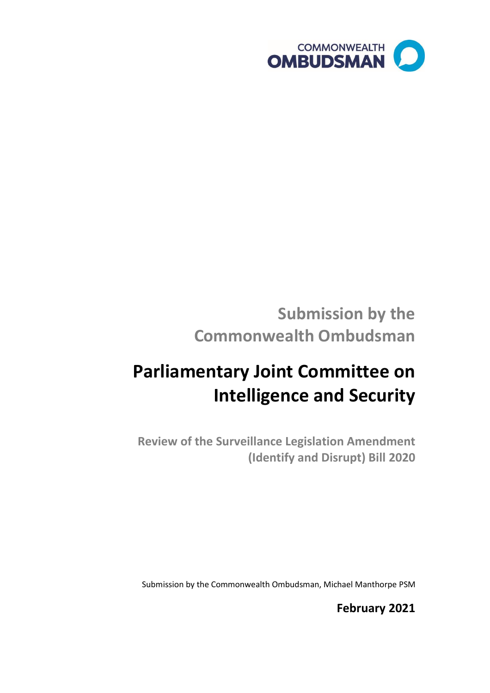

## **Submission by the Commonwealth Ombudsman**

# **Parliamentary Joint Committee on Intelligence and Security**

**Review of the Surveillance Legislation Amendment (Identify and Disrupt) Bill 2020** 

Submission by the Commonwealth Ombudsman, Michael Manthorpe PSM

**February 2021**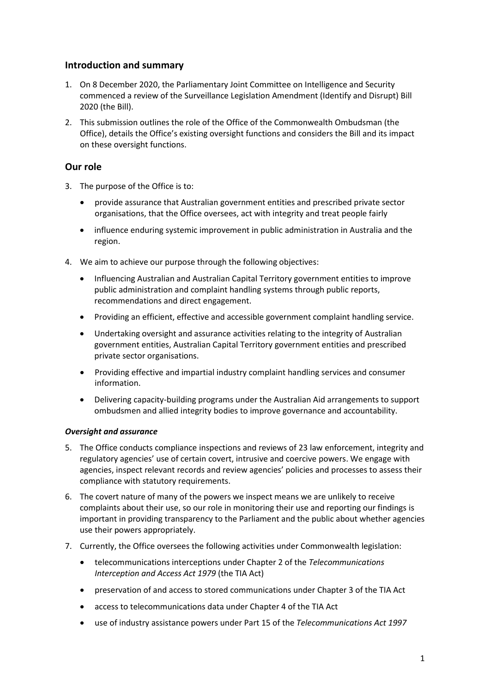## **Introduction and summary**

- 1. On 8 December 2020, the Parliamentary Joint Committee on Intelligence and Security commenced a review of the Surveillance Legislation Amendment (Identify and Disrupt) Bill 2020 (the Bill).
- 2. This submission outlines the role of the Office of the Commonwealth Ombudsman (the Office), details the Office's existing oversight functions and considers the Bill and its impact on these oversight functions.

## **Our role**

- 3. The purpose of the Office is to:
	- provide assurance that Australian government entities and prescribed private sector organisations, that the Office oversees, act with integrity and treat people fairly
	- influence enduring systemic improvement in public administration in Australia and the region.
- 4. We aim to achieve our purpose through the following objectives:
	- Influencing Australian and Australian Capital Territory government entities to improve public administration and complaint handling systems through public reports, recommendations and direct engagement.
	- Providing an efficient, effective and accessible government complaint handling service.
	- Undertaking oversight and assurance activities relating to the integrity of Australian government entities, Australian Capital Territory government entities and prescribed private sector organisations.
	- Providing effective and impartial industry complaint handling services and consumer information.
	- Delivering capacity-building programs under the Australian Aid arrangements to support ombudsmen and allied integrity bodies to improve governance and accountability.

## *Oversight and assurance*

- 5. The Office conducts compliance inspections and reviews of 23 law enforcement, integrity and regulatory agencies' use of certain covert, intrusive and coercive powers. We engage with agencies, inspect relevant records and review agencies' policies and processes to assess their compliance with statutory requirements.
- 6. The covert nature of many of the powers we inspect means we are unlikely to receive complaints about their use, so our role in monitoring their use and reporting our findings is important in providing transparency to the Parliament and the public about whether agencies use their powers appropriately.
- 7. Currently, the Office oversees the following activities under Commonwealth legislation:
	- telecommunications interceptions under Chapter 2 of the *Telecommunications Interception and Access Act 1979* (the TIA Act)
	- preservation of and access to stored communications under Chapter 3 of the TIA Act
	- access to telecommunications data under Chapter 4 of the TIA Act
	- use of industry assistance powers under Part 15 of the *Telecommunications Act 1997*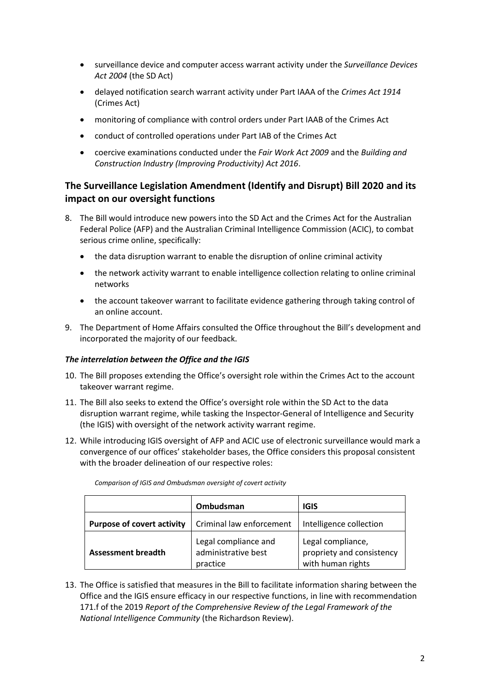- surveillance device and computer access warrant activity under the *Surveillance Devices Act 2004* (the SD Act)
- delayed notification search warrant activity under Part IAAA of the *Crimes Act 1914*  (Crimes Act)
- monitoring of compliance with control orders under Part IAAB of the Crimes Act
- conduct of controlled operations under Part IAB of the Crimes Act
- coercive examinations conducted under the *Fair Work Act 2009* and the *Building and Construction Industry (Improving Productivity) Act 2016*.

## **The Surveillance Legislation Amendment (Identify and Disrupt) Bill 2020 and its impact on our oversight functions**

- 8. The Bill would introduce new powers into the SD Act and the Crimes Act for the Australian Federal Police (AFP) and the Australian Criminal Intelligence Commission (ACIC), to combat serious crime online, specifically:
	- the data disruption warrant to enable the disruption of online criminal activity
	- the network activity warrant to enable intelligence collection relating to online criminal networks
	- the account takeover warrant to facilitate evidence gathering through taking control of an online account.
- 9. The Department of Home Affairs consulted the Office throughout the Bill's development and incorporated the majority of our feedback.

## *The interrelation between the Office and the IGIS*

- 10. The Bill proposes extending the Office's oversight role within the Crimes Act to the account takeover warrant regime.
- 11. The Bill also seeks to extend the Office's oversight role within the SD Act to the data disruption warrant regime, while tasking the Inspector-General of Intelligence and Security (the IGIS) with oversight of the network activity warrant regime.
- 12. While introducing IGIS oversight of AFP and ACIC use of electronic surveillance would mark a convergence of our offices' stakeholder bases, the Office considers this proposal consistent with the broader delineation of our respective roles:

|                                   | Ombudsman                                               | <b>IGIS</b>                                                         |
|-----------------------------------|---------------------------------------------------------|---------------------------------------------------------------------|
| <b>Purpose of covert activity</b> | Criminal law enforcement                                | Intelligence collection                                             |
| <b>Assessment breadth</b>         | Legal compliance and<br>administrative best<br>practice | Legal compliance,<br>propriety and consistency<br>with human rights |

*Comparison of IGIS and Ombudsman oversight of covert activity* 

 Office and the IGIS ensure efficacy in our respective functions, in line with recommendation 13. The Office is satisfied that measures in the Bill to facilitate information sharing between the 171.f of the 2019 *Report of the Comprehensive Review of the Legal Framework of the National Intelligence Community* (the Richardson Review).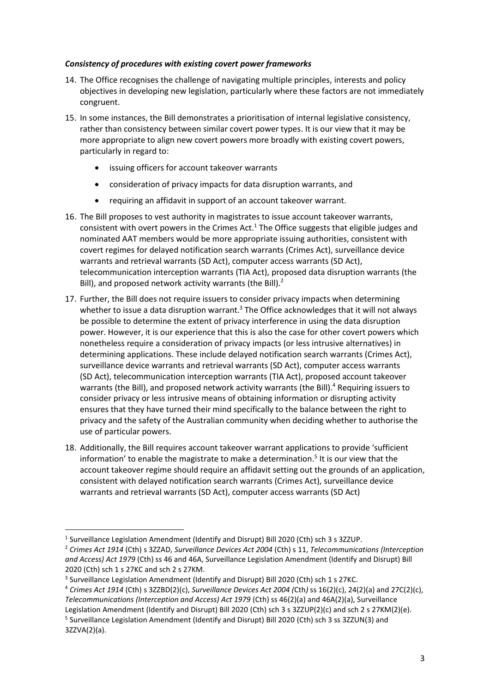#### *Consistency of procedures with existing covert power frameworks*

- 14. The Office recognises the challenge of navigating multiple principles, interests and policy objectives in developing new legislation, particularly where these factors are not immediately congruent.
- more appropriate to align new covert powers more broadly with existing covert powers, 15. In some instances, the Bill demonstrates a prioritisation of internal legislative consistency, rather than consistency between similar covert power types. It is our view that it may be particularly in regard to:
	- issuing officers for account takeover warrants
	- consideration of privacy impacts for data disruption warrants, and
	- requiring an affidavit in support of an account takeover warrant.
- 16. The Bill proposes to vest authority in magistrates to issue account takeover warrants, consistent with overt powers in the Crimes Act.<sup>1</sup> The Office suggests that eligible judges and nominated AAT members would be more appropriate issuing authorities, consistent with covert regimes for delayed notification search warrants (Crimes Act), surveillance device warrants and retrieval warrants (SD Act), computer access warrants (SD Act), telecommunication interception warrants (TIA Act), proposed data disruption warrants (the Bill), and proposed network activity warrants (the Bill).<sup>2</sup>
- nonetheless require a consideration of privacy impacts (or less intrusive alternatives) in ensures that they have turned their mind specifically to the balance between the right to 17. Further, the Bill does not require issuers to consider privacy impacts when determining whether to issue a data disruption warrant.<sup>3</sup> The Office acknowledges that it will not always be possible to determine the extent of privacy interference in using the data disruption power. However, it is our experience that this is also the case for other covert powers which determining applications. These include delayed notification search warrants (Crimes Act), surveillance device warrants and retrieval warrants (SD Act), computer access warrants (SD Act), telecommunication interception warrants (TIA Act), proposed account takeover warrants (the Bill), and proposed network activity warrants (the Bill).<sup>4</sup> Requiring issuers to consider privacy or less intrusive means of obtaining information or disrupting activity privacy and the safety of the Australian community when deciding whether to authorise the use of particular powers.
- 18. Additionally, the Bill requires account takeover warrant applications to provide 'sufficient information' to enable the magistrate to make a determination. 5 It is our view that the account takeover regime should require an affidavit setting out the grounds of an application, consistent with delayed notification search warrants (Crimes Act), surveillance device warrants and retrieval warrants (SD Act), computer access warrants (SD Act)

<sup>4</sup>*Crimes Act 1914* (Cth) s 3ZZBD(2)(c), *Surveillance Devices Act 2004 (*Cth*)* ss 16(2)(c), 24(2)(a) and 27C(2)(c), *Telecommunications (Interception and Access) Act 1979* (Cth) ss 46(2)(a) and 46A(2)(a), Surveillance

Legislation Amendment (Identify and Disrupt) Bill 2020 (Cth) sch 3 s 3ZZUP(2)(c) and sch 2 s 27KM(2)(e).<br><sup>5</sup> Surveillance Legislation Amendment (Identify and Disrupt) Bill 2020 (Cth) sch 3 ss 3ZZUN(3) and 3ZZVA(2)(a).

**<sup>.</sup>** <sup>1</sup> Surveillance Legislation Amendment (Identify and Disrupt) Bill 2020 (Cth) sch 3 s 3ZZUP.

 *and Access) Act 1979* (Cth) ss 46 and 46A, Surveillance Legislation Amendment (Identify and Disrupt) Bill <sup>2</sup>*Crimes Act 1914* (Cth) s 3ZZAD, *Surveillance Devices Act 2004* (Cth) s 11, *Telecommunications (Interception*  2020 (Cth) sch 1 s 27KC and sch 2 s 27KM.<br><sup>3</sup> Surveillance Legislation Amendment (Identify and Disrupt) Bill 2020 (Cth) sch 1 s 27KC.